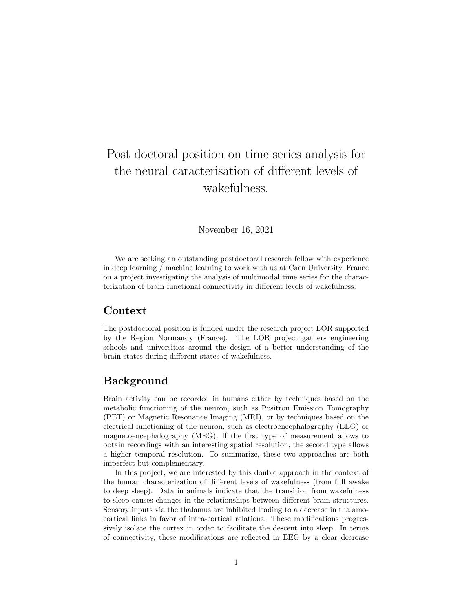# Post doctoral position on time series analysis for the neural caracterisation of different levels of wakefulness.

November 16, 2021

We are seeking an outstanding postdoctoral research fellow with experience in deep learning / machine learning to work with us at Caen University, France on a project investigating the analysis of multimodal time series for the characterization of brain functional connectivity in different levels of wakefulness.

#### Context

The postdoctoral position is funded under the research project LOR supported by the Region Normandy (France). The LOR project gathers engineering schools and universities around the design of a better understanding of the brain states during different states of wakefulness.

#### Background

Brain activity can be recorded in humans either by techniques based on the metabolic functioning of the neuron, such as Positron Emission Tomography (PET) or Magnetic Resonance Imaging (MRI), or by techniques based on the electrical functioning of the neuron, such as electroencephalography (EEG) or magnetoencephalography (MEG). If the first type of measurement allows to obtain recordings with an interesting spatial resolution, the second type allows a higher temporal resolution. To summarize, these two approaches are both imperfect but complementary.

In this project, we are interested by this double approach in the context of the human characterization of different levels of wakefulness (from full awake to deep sleep). Data in animals indicate that the transition from wakefulness to sleep causes changes in the relationships between different brain structures. Sensory inputs via the thalamus are inhibited leading to a decrease in thalamocortical links in favor of intra-cortical relations. These modifications progressively isolate the cortex in order to facilitate the descent into sleep. In terms of connectivity, these modifications are reflected in EEG by a clear decrease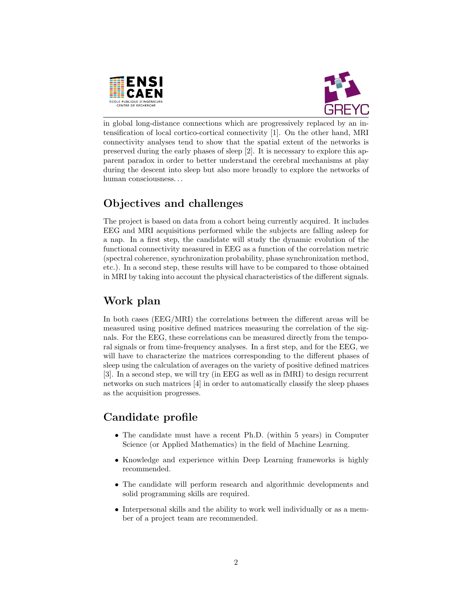



in global long-distance connections which are progressively replaced by an intensification of local cortico-cortical connectivity [1]. On the other hand, MRI connectivity analyses tend to show that the spatial extent of the networks is preserved during the early phases of sleep [2]. It is necessary to explore this apparent paradox in order to better understand the cerebral mechanisms at play during the descent into sleep but also more broadly to explore the networks of human consciousness. . .

## Objectives and challenges

The project is based on data from a cohort being currently acquired. It includes EEG and MRI acquisitions performed while the subjects are falling asleep for a nap. In a first step, the candidate will study the dynamic evolution of the functional connectivity measured in EEG as a function of the correlation metric (spectral coherence, synchronization probability, phase synchronization method, etc.). In a second step, these results will have to be compared to those obtained in MRI by taking into account the physical characteristics of the different signals.

## Work plan

In both cases (EEG/MRI) the correlations between the different areas will be measured using positive defined matrices measuring the correlation of the signals. For the EEG, these correlations can be measured directly from the temporal signals or from time-frequency analyses. In a first step, and for the EEG, we will have to characterize the matrices corresponding to the different phases of sleep using the calculation of averages on the variety of positive defined matrices [3]. In a second step, we will try (in EEG as well as in fMRI) to design recurrent networks on such matrices [4] in order to automatically classify the sleep phases as the acquisition progresses.

## Candidate profile

- The candidate must have a recent Ph.D. (within 5 years) in Computer Science (or Applied Mathematics) in the field of Machine Learning.
- Knowledge and experience within Deep Learning frameworks is highly recommended.
- The candidate will perform research and algorithmic developments and solid programming skills are required.
- Interpersonal skills and the ability to work well individually or as a member of a project team are recommended.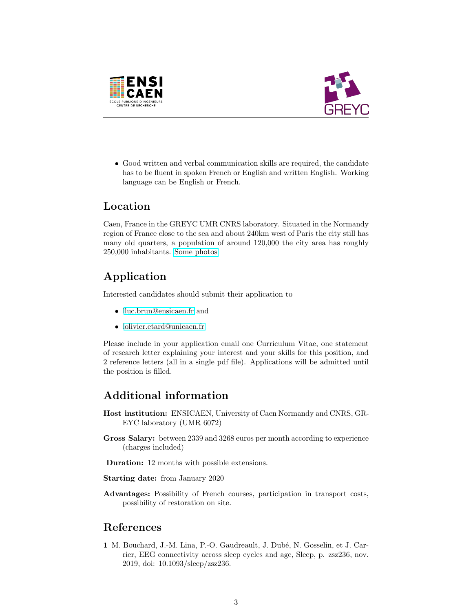



• Good written and verbal communication skills are required, the candidate has to be fluent in spoken French or English and written English. Working language can be English or French.

#### Location

Caen, France in the GREYC UMR CNRS laboratory. Situated in the Normandy region of France close to the sea and about 240km west of Paris the city still has many old quarters, a population of around 120,000 the city area has roughly 250,000 inhabitants. [Some photos](https://caen.maville.com/info/detail-galerie_-Caen-en-images-_344_GaleriePhoto.Htm)

## Application

Interested candidates should submit their application to

- [lluc.brun@ensicaen.fr](mailto:luc.brun@ensicaen.fr,olivier.etard@unicaen.fr) and
- [lolivier.etard@unicaen.fr](mailto:luc.brun@ensicaen.fr,olivier.etard@unicaen.fr)

Please include in your application email one Curriculum Vitae, one statement of research letter explaining your interest and your skills for this position, and 2 reference letters (all in a single pdf file). Applications will be admitted until the position is filled.

## Additional information

- Host institution: ENSICAEN, University of Caen Normandy and CNRS, GR-EYC laboratory (UMR 6072)
- Gross Salary: between 2339 and 3268 euros per month according to experience (charges included)
- Duration: 12 months with possible extensions.

Starting date: from January 2020

Advantages: Possibility of French courses, participation in transport costs, possibility of restoration on site.

#### References

1 M. Bouchard, J.-M. Lina, P.-O. Gaudreault, J. Dubé, N. Gosselin, et J. Carrier, EEG connectivity across sleep cycles and age, Sleep, p. zsz236, nov. 2019, doi: 10.1093/sleep/zsz236.